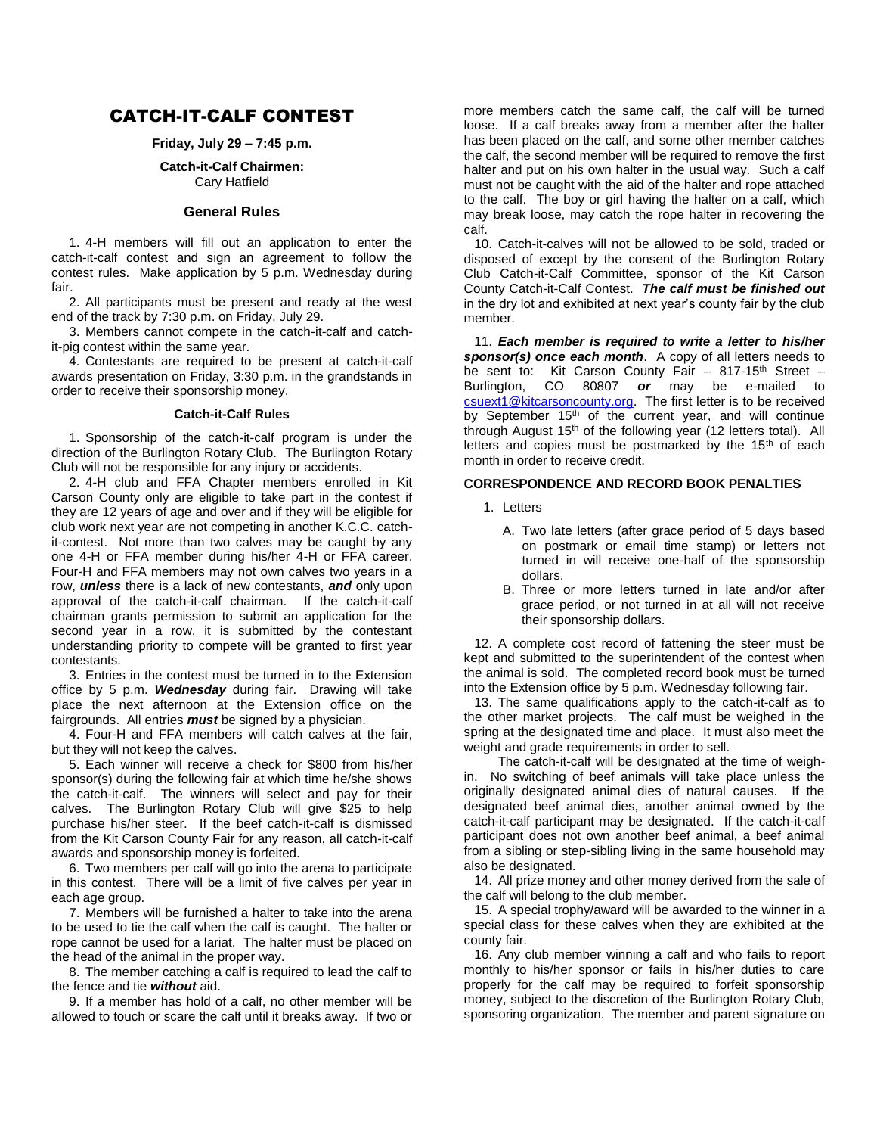# CATCH-IT-CALF CONTEST

## **Friday, July 29 – 7:45 p.m.**

#### **Catch-it-Calf Chairmen:** Cary Hatfield

#### **General Rules**

1. 4-H members will fill out an application to enter the catch-it-calf contest and sign an agreement to follow the contest rules. Make application by 5 p.m. Wednesday during fair.

2. All participants must be present and ready at the west end of the track by 7:30 p.m. on Friday, July 29.

3. Members cannot compete in the catch-it-calf and catchit-pig contest within the same year.

4. Contestants are required to be present at catch-it-calf awards presentation on Friday, 3:30 p.m. in the grandstands in order to receive their sponsorship money.

#### **Catch-it-Calf Rules**

1. Sponsorship of the catch-it-calf program is under the direction of the Burlington Rotary Club. The Burlington Rotary Club will not be responsible for any injury or accidents.

2. 4-H club and FFA Chapter members enrolled in Kit Carson County only are eligible to take part in the contest if they are 12 years of age and over and if they will be eligible for club work next year are not competing in another K.C.C. catchit-contest. Not more than two calves may be caught by any one 4-H or FFA member during his/her 4-H or FFA career. Four-H and FFA members may not own calves two years in a row, *unless* there is a lack of new contestants, *and* only upon approval of the catch-it-calf chairman. If the catch-it-calf chairman grants permission to submit an application for the second year in a row, it is submitted by the contestant understanding priority to compete will be granted to first year contestants.

3. Entries in the contest must be turned in to the Extension office by 5 p.m. *Wednesday* during fair. Drawing will take place the next afternoon at the Extension office on the fairgrounds. All entries *must* be signed by a physician.

4. Four-H and FFA members will catch calves at the fair, but they will not keep the calves.

5. Each winner will receive a check for \$800 from his/her sponsor(s) during the following fair at which time he/she shows the catch-it-calf. The winners will select and pay for their calves. The Burlington Rotary Club will give \$25 to help purchase his/her steer. If the beef catch-it-calf is dismissed from the Kit Carson County Fair for any reason, all catch-it-calf awards and sponsorship money is forfeited.

6. Two members per calf will go into the arena to participate in this contest. There will be a limit of five calves per year in each age group.

7. Members will be furnished a halter to take into the arena to be used to tie the calf when the calf is caught. The halter or rope cannot be used for a lariat. The halter must be placed on the head of the animal in the proper way.

8. The member catching a calf is required to lead the calf to the fence and tie *without* aid.

9. If a member has hold of a calf, no other member will be allowed to touch or scare the calf until it breaks away. If two or

more members catch the same calf, the calf will be turned loose. If a calf breaks away from a member after the halter has been placed on the calf, and some other member catches the calf, the second member will be required to remove the first halter and put on his own halter in the usual way. Such a calf must not be caught with the aid of the halter and rope attached to the calf. The boy or girl having the halter on a calf, which may break loose, may catch the rope halter in recovering the calf.

10. Catch-it-calves will not be allowed to be sold, traded or disposed of except by the consent of the Burlington Rotary Club Catch-it-Calf Committee, sponsor of the Kit Carson County Catch-it-Calf Contest. *The calf must be finished out* in the dry lot and exhibited at next year's county fair by the club member.

11. *Each member is required to write a letter to his/her sponsor(s) once each month*. A copy of all letters needs to be sent to: Kit Carson County Fair  $-$  817-15<sup>th</sup> Street  $-$  Burlington, CO 80807 **or** may be e-mailed to Burlington, CO 80807 *or* may be e-mailed to [csuext1@kitcarsoncounty.org.](mailto:csuext1@kitcarsoncounty.org) The first letter is to be received by September 15<sup>th</sup> of the current year, and will continue through August 15<sup>th</sup> of the following year (12 letters total). All letters and copies must be postmarked by the  $15<sup>th</sup>$  of each month in order to receive credit.

### **CORRESPONDENCE AND RECORD BOOK PENALTIES**

- 1. Letters
	- A. Two late letters (after grace period of 5 days based on postmark or email time stamp) or letters not turned in will receive one-half of the sponsorship dollars.
	- B. Three or more letters turned in late and/or after grace period, or not turned in at all will not receive their sponsorship dollars.

12. A complete cost record of fattening the steer must be kept and submitted to the superintendent of the contest when the animal is sold. The completed record book must be turned into the Extension office by 5 p.m. Wednesday following fair.

13. The same qualifications apply to the catch-it-calf as to the other market projects. The calf must be weighed in the spring at the designated time and place. It must also meet the weight and grade requirements in order to sell.

The catch-it-calf will be designated at the time of weighin. No switching of beef animals will take place unless the originally designated animal dies of natural causes. If the designated beef animal dies, another animal owned by the catch-it-calf participant may be designated. If the catch-it-calf participant does not own another beef animal, a beef animal from a sibling or step-sibling living in the same household may also be designated.

14. All prize money and other money derived from the sale of the calf will belong to the club member.

15. A special trophy/award will be awarded to the winner in a special class for these calves when they are exhibited at the county fair.

16. Any club member winning a calf and who fails to report monthly to his/her sponsor or fails in his/her duties to care properly for the calf may be required to forfeit sponsorship money, subject to the discretion of the Burlington Rotary Club, sponsoring organization. The member and parent signature on